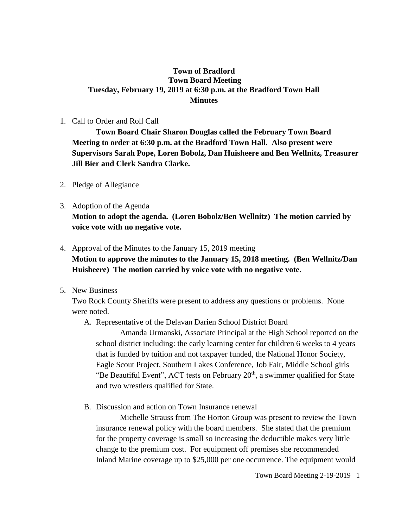## **Town of Bradford Town Board Meeting Tuesday, February 19, 2019 at 6:30 p.m. at the Bradford Town Hall Minutes**

#### 1. Call to Order and Roll Call

**Town Board Chair Sharon Douglas called the February Town Board Meeting to order at 6:30 p.m. at the Bradford Town Hall. Also present were Supervisors Sarah Pope, Loren Bobolz, Dan Huisheere and Ben Wellnitz, Treasurer Jill Bier and Clerk Sandra Clarke.**

- 2. Pledge of Allegiance
- 3. Adoption of the Agenda **Motion to adopt the agenda. (Loren Bobolz/Ben Wellnitz) The motion carried by voice vote with no negative vote.**

# 4. Approval of the Minutes to the January 15, 2019 meeting **Motion to approve the minutes to the January 15, 2018 meeting. (Ben Wellnitz/Dan Huisheere) The motion carried by voice vote with no negative vote.**

5. New Business

Two Rock County Sheriffs were present to address any questions or problems. None were noted.

A. Representative of the Delavan Darien School District Board

Amanda Urmanski, Associate Principal at the High School reported on the school district including: the early learning center for children 6 weeks to 4 years that is funded by tuition and not taxpayer funded, the National Honor Society, Eagle Scout Project, Southern Lakes Conference, Job Fair, Middle School girls "Be Beautiful Event", ACT tests on February  $20<sup>th</sup>$ , a swimmer qualified for State and two wrestlers qualified for State.

B. Discussion and action on Town Insurance renewal

Michelle Strauss from The Horton Group was present to review the Town insurance renewal policy with the board members. She stated that the premium for the property coverage is small so increasing the deductible makes very little change to the premium cost. For equipment off premises she recommended Inland Marine coverage up to \$25,000 per one occurrence. The equipment would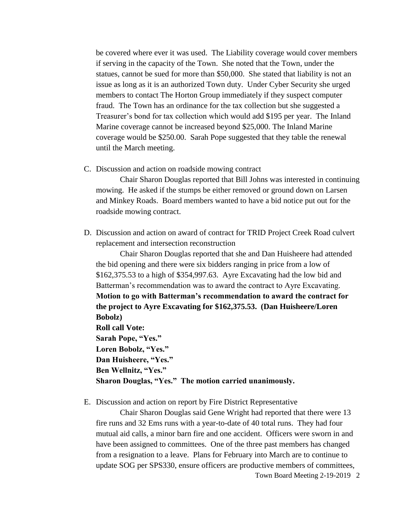be covered where ever it was used. The Liability coverage would cover members if serving in the capacity of the Town. She noted that the Town, under the statues, cannot be sued for more than \$50,000. She stated that liability is not an issue as long as it is an authorized Town duty. Under Cyber Security she urged members to contact The Horton Group immediately if they suspect computer fraud. The Town has an ordinance for the tax collection but she suggested a Treasurer's bond for tax collection which would add \$195 per year. The Inland Marine coverage cannot be increased beyond \$25,000. The Inland Marine coverage would be \$250.00. Sarah Pope suggested that they table the renewal until the March meeting.

C. Discussion and action on roadside mowing contract

Chair Sharon Douglas reported that Bill Johns was interested in continuing mowing. He asked if the stumps be either removed or ground down on Larsen and Minkey Roads. Board members wanted to have a bid notice put out for the roadside mowing contract.

D. Discussion and action on award of contract for TRID Project Creek Road culvert replacement and intersection reconstruction

Chair Sharon Douglas reported that she and Dan Huisheere had attended the bid opening and there were six bidders ranging in price from a low of \$162,375.53 to a high of \$354,997.63. Ayre Excavating had the low bid and Batterman's recommendation was to award the contract to Ayre Excavating. **Motion to go with Batterman's recommendation to award the contract for the project to Ayre Excavating for \$162,375.53. (Dan Huisheere/Loren Bobolz) Roll call Vote: Sarah Pope, "Yes." Loren Bobolz, "Yes." Dan Huisheere, "Yes." Ben Wellnitz, "Yes." Sharon Douglas, "Yes." The motion carried unanimously.**

E. Discussion and action on report by Fire District Representative

Town Board Meeting 2-19-2019 2 Chair Sharon Douglas said Gene Wright had reported that there were 13 fire runs and 32 Ems runs with a year-to-date of 40 total runs. They had four mutual aid calls, a minor barn fire and one accident. Officers were sworn in and have been assigned to committees. One of the three past members has changed from a resignation to a leave. Plans for February into March are to continue to update SOG per SPS330, ensure officers are productive members of committees,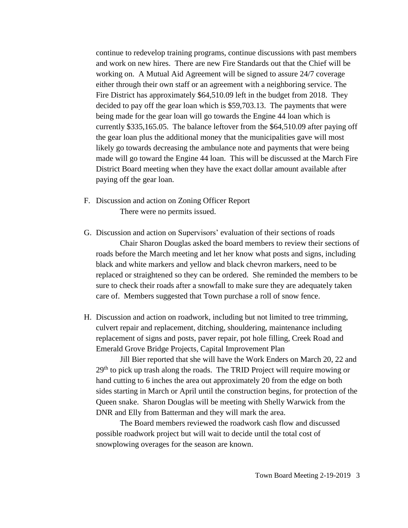continue to redevelop training programs, continue discussions with past members and work on new hires. There are new Fire Standards out that the Chief will be working on. A Mutual Aid Agreement will be signed to assure 24/7 coverage either through their own staff or an agreement with a neighboring service. The Fire District has approximately \$64,510.09 left in the budget from 2018. They decided to pay off the gear loan which is \$59,703.13. The payments that were being made for the gear loan will go towards the Engine 44 loan which is currently \$335,165.05. The balance leftover from the \$64,510.09 after paying off the gear loan plus the additional money that the municipalities gave will most likely go towards decreasing the ambulance note and payments that were being made will go toward the Engine 44 loan. This will be discussed at the March Fire District Board meeting when they have the exact dollar amount available after paying off the gear loan.

- F. Discussion and action on Zoning Officer Report There were no permits issued.
- G. Discussion and action on Supervisors' evaluation of their sections of roads Chair Sharon Douglas asked the board members to review their sections of roads before the March meeting and let her know what posts and signs, including black and white markers and yellow and black chevron markers, need to be replaced or straightened so they can be ordered. She reminded the members to be sure to check their roads after a snowfall to make sure they are adequately taken care of. Members suggested that Town purchase a roll of snow fence.
- H. Discussion and action on roadwork, including but not limited to tree trimming, culvert repair and replacement, ditching, shouldering, maintenance including replacement of signs and posts, paver repair, pot hole filling, Creek Road and Emerald Grove Bridge Projects, Capital Improvement Plan

Jill Bier reported that she will have the Work Enders on March 20, 22 and  $29<sup>th</sup>$  to pick up trash along the roads. The TRID Project will require mowing or hand cutting to 6 inches the area out approximately 20 from the edge on both sides starting in March or April until the construction begins, for protection of the Queen snake. Sharon Douglas will be meeting with Shelly Warwick from the DNR and Elly from Batterman and they will mark the area.

The Board members reviewed the roadwork cash flow and discussed possible roadwork project but will wait to decide until the total cost of snowplowing overages for the season are known.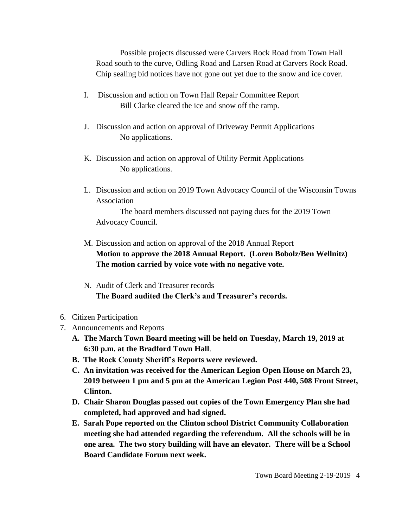Possible projects discussed were Carvers Rock Road from Town Hall Road south to the curve, Odling Road and Larsen Road at Carvers Rock Road. Chip sealing bid notices have not gone out yet due to the snow and ice cover.

- I. Discussion and action on Town Hall Repair Committee Report Bill Clarke cleared the ice and snow off the ramp.
- J. Discussion and action on approval of Driveway Permit Applications No applications.
- K. Discussion and action on approval of Utility Permit Applications No applications.
- L. Discussion and action on 2019 Town Advocacy Council of the Wisconsin Towns Association

The board members discussed not paying dues for the 2019 Town Advocacy Council.

- M. Discussion and action on approval of the 2018 Annual Report **Motion to approve the 2018 Annual Report. (Loren Bobolz/Ben Wellnitz) The motion carried by voice vote with no negative vote.**
- N. Audit of Clerk and Treasurer records **The Board audited the Clerk's and Treasurer's records.**
- 6. Citizen Participation
- 7. Announcements and Reports
	- **A. The March Town Board meeting will be held on Tuesday, March 19, 2019 at 6:30 p.m. at the Bradford Town Hall**.
	- **B. The Rock County Sheriff's Reports were reviewed.**
	- **C. An invitation was received for the American Legion Open House on March 23, 2019 between 1 pm and 5 pm at the American Legion Post 440, 508 Front Street, Clinton.**
	- **D. Chair Sharon Douglas passed out copies of the Town Emergency Plan she had completed, had approved and had signed.**
	- **E. Sarah Pope reported on the Clinton school District Community Collaboration meeting she had attended regarding the referendum. All the schools will be in one area. The two story building will have an elevator. There will be a School Board Candidate Forum next week.**